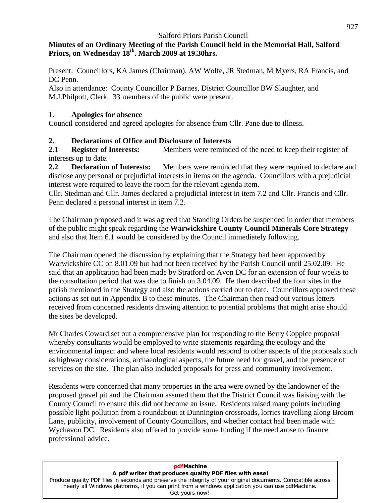### **Minutes of an Ordinary Meeting of the Parish Council held in the Memorial Hall, Salford Priors, on Wednesday 18 th . March 2009 at 19.30hrs.**

Present: Councillors, KA James (Chairman), AW Wolfe, JR Stedman, M Myers, RA Francis,and DC Penn.

Also in attendance: County Councillor P Barnes, District Councillor BW Slaughter, and M.J.Philpott, Clerk. 33 members of the public were present.

### **1. Apologies for absence**

Council considered and agreed apologies for absence from Cllr. Pane due to illness.

### **2. Declarations of Office and Disclosure of Interests**

**2.1 Register of Interests:** Members were reminded of the need to keep their register of interests up to date.

**2.2 Declaration of Interests:** Members were reminded that they were required to declare and disclose any personal or prejudicial interests in items on the agenda. Councillors with a prejudicial interest were required to leave the room for the relevant agenda item.

Cllr. Stedman and Cllr. James declared a prejudicial interest in item 7.2 and Cllr. Francis and Cllr. Penn declared a personal interest in item 7.2.

The Chairman proposed and it was agreed that Standing Orders be suspended in order that members of the public might speak regarding the **Warwickshire County Council Minerals Core Strategy** and also that Item 6.1 would be considered by the Council immediately following.

The Chairman opened the discussion by explaining that the Strategy had been approved by Warwickshire CC on 8.01.09 but had not been received by the Parish Council until 25.02.09. He said that an application had been made by Stratford on Avon DC for an extension of four weeks to the consultation period that was due to finish on 3.04.09. He then described the four sites in the parish mentioned in the Strategy and also the actions carried out to date. Councillors approved these actions as set out in Appendix B to these minutes. The Chairman then read out various letters received from concerned residents drawing attention to potential problems that might arise should the sites be developed.

Mr Charles Coward set out a comprehensive plan for responding to the Berry Coppice proposal whereby consultants would be employed to write statements regarding the ecology and the environmental impact and where local residents would respond to other aspects of the proposals such as highway considerations, archaeological aspects, the future need for gravel, and the presence of services on the site. The plan also included proposals for press and community involvement.

Residents were concerned that many properties in the area were owned by the landowner of the proposed gravel pit and the Chairman assured them that the District Council was liaising with the County Council to ensure this did not become an issue. Residents raised many points including possible light pollution from a roundabout at Dunnington crossroads, lorries travelling along Broom Lane, publicity, involvement of County Councillors, and whether contact had been made with Wychavon DC. Residents also offered to provide some funding if the need arose to finance professional advice.

#### **pdfMachine A pdf writer that produces quality PDF files with ease!** [Produce quality PDF files in seconds and preserve the integrity of your original documents. Compatible across](http://www.pdfmachine.com?cl)  nearly all Windows platforms, if you can print from a windows application you can use pdfMachine. Get yours now!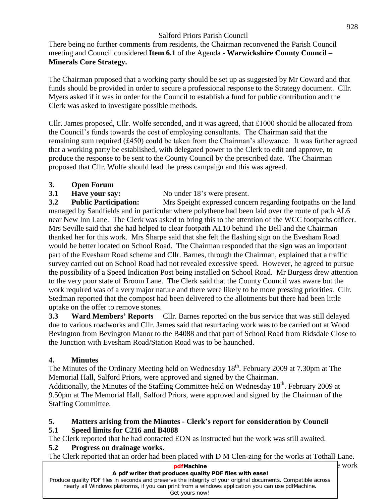There being no further comments from residents, the Chairman reconvened the Parish Council Salford Priors Parish Council<br>There being no further comments from residents, the Chairman reconvened the Parish Council<br>meeting and Council considered **Item 6.1** of the Agenda - **Warwickshire County Council** – **Minerals Core Strategy.**

The Chairman proposed that a working party should be set up as suggested by Mr Coward and that funds should be provided in order to secure a professional response to the Strategy document. Cllr. Myers asked if it was in order for the Council to establish a fund for public contribution and the Clerk was asked to investigate possible methods.

Clerk was asked to investigate possible methods.<br>Cllr. James proposed, Cllr. Wolfe seconded, and it was agreed, that £1000 should be allocated from The Council is proposed, Cllr. Wolfe seconded, and it was agreed, that £1000 should be allocated from<br>the Council's funds towards the cost of employing consultants. The Chairman said that the the Council's funds towards the cost of employing consultants. The Chairman said that the remaining sum required (£450) could be taken from the Chairman's allowance. It was further agreed that a working party be established, with delegated power to the Clerk to edit and approve, to produce the response to be sent to the County Council by the prescribed date. The Chairman proposed that Cllr. Wolfe should lead the press campaign and this was agreed.

### **3. Open Forum**

**3.1 Have your say:** No under 18's were present.

**3.2 Public Participation:** Mrs Speight expressed concern regarding footpaths on the land managed by Sandfields and in particular where polythene had been laid over the route of path AL6 near New InnLane. The Clerk was asked to bring this to the attention of the WCC footpaths officer. Mrs Seville said that she had helped to clear footpath AL10 behind The Bell and the Chairman thanked her for this work. Mrs Sharpe said that she felt the flashing sign on the Evesham Road would be better located on School Road. The Chairman responded that the sign was an important part of the Evesham Road scheme and Cllr. Barnes, through the Chairman, explained that a traffic survey carried out on School Road had not revealed excessive speed. However, he agreed to pursue the possibility of a Speed Indication Post being installed on School Road. Mr Burgess drew attention to the very poor state of Broom Lane. The Clerk said that the County Council was aware but the work required was of a very major nature and there were likely to be more pressing priorities. Cllr. Stedman reported that the compost had been delivered to the allotments but there had been little<br> **3.3 Ward Members' Reports** Cllr. Barnes reported on the bus service that was still delayed uptake on the offer to remove stones.

due to various roadworks and Cllr. James said that resurfacing work was to be carried out at Wood Bevington from Bevington Manor to the B4088 and that part of School Road from Ridsdale Close to the Junction with Evesham Road/Station Road was to be haunched.

### **4. Minutes**

The Minutes of the Ordinary Meeting held on Wednesday 18<sup>th</sup>. February 2009 at 7.30pm at The Memorial Hall, Salford Priors, were approved and signed by the Chairman.

Additionally, the Minutes of the Staffing Committee held on Wednesday 18<sup>th</sup>. February 2009 at 9.50pm at The Memorial Hall, Salford Priors, were approved and signed by the Chairman of the Staffing Committee.

#### **5. Matters arising from the Minutes - Clerkís report for consideration by Council 5.1 Speed limits for C216 and B4088**

The Clerk reported that he had contacted EON as instructed but the work was still awaited.

### **5.2 Progress on drainage works.**

The Clerk reported that an order had been placed with D M Clen-zing for the works at Tothall Lane.

| e work |
|--------|
|        |
|        |
|        |
|        |
|        |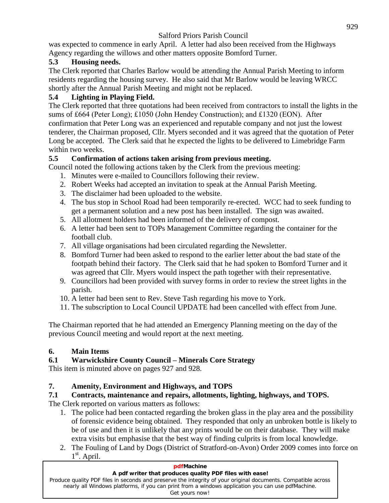was expected to commence in early April. A letter had also been received from the Highways Agency regarding the willows and other matters opposite Bomford Turner.

### **5.3 Housing needs.**

The Clerk reported that Charles Barlow would be attending the Annual Parish Meeting to inform residents regarding the housing survey. He also said that Mr Barlow would be leaving WRCC shortly after the Annual Parish Meeting and might not be replaced.

### **5.4 Lighting in Playing Field.**

The Clerk reported that three quotations had been received from contractors to install the lights in the sums of £664 (Peter Long); £1050 (John Hendey Construction); and £1320 (EON). After confirmation that Peter Long was an experienced and reputable company and not just the lowest tenderer, the Chairman proposed, Cllr. Myers seconded and it was agreed that the quotation of Peter Long be accepted. The Clerk said that he expected the lights to be delivered to Limebridge Farm within two weeks.

### **5.5 Confirmation of actions taken arising from previous meeting.**

Council noted the following actions taken by the Clerk from the previous meeting:

- 1. Minutes were e-mailed to Councillors following their review.
- 2. Robert Weeks had accepted an invitation to speak at the Annual Parish Meeting.
- 3. The disclaimer had been uploaded to the website.
- 4. The bus stop in School Road had been temporarily re-erected. WCC had to seek funding to get a permanent solution and a new post has been installed. The sign was awaited.
- 5. All allotment holders had been informed of the delivery of compost.
- 6. A letter had been sent to TOPs Management Committee regarding the container for the football club.
- 7. All village organisations had been circulated regarding the Newsletter.
- 8. Bomford Turner had been asked to respond to the earlier letter about the bad state of the footpath behind their factory. The Clerk said that he had spoken to Bomford Turner and it was agreed that Cllr. Myers would inspect the path together with their representative.
- 9. Councillors had been provided with survey forms in order to review the street lights in the parish.
- 10. A letter had been sent to Rev. Steve Tash regarding his move to York.
- 11. The subscription to Local Council UPDATE had been cancelled with effect from June.

The Chairman reported that he had attended an Emergency Planning meeting on the day of the previous Council meeting and would report at the next meeting.

# **6. Main Items**

# **6.1 Warwickshire County Council <sup>ñ</sup> Minerals Core Strategy**

This item is minuted above on pages 927 and 928.

# **7. Amenity, Environment and Highways, and TOPS**

# **7.1 Contracts, maintenance and repairs, allotments, lighting, highways, and TOPS.**

The Clerk reported on various matters as follows:

- 1. The police had been contacted regarding the broken glass in the play area and the possibility of forensic evidence being obtained. They responded that only an unbroken bottle is likely to be of use and then it is unlikely that any prints would be on their database. They will make extra visits but emphasise that the best way of finding culprits is from local knowledge.
- 2. The Fouling of Land by Dogs (District of Stratford-on-Avon) Order 2009 comes into force on 1<sup>st</sup>. April.

| <b>pdfMachine</b>                                                                                                                                                                                                                    |
|--------------------------------------------------------------------------------------------------------------------------------------------------------------------------------------------------------------------------------------|
| A pdf writer that produces quality PDF files with ease!                                                                                                                                                                              |
| Produce quality PDF files in seconds and preserve the integrity of your original documents. Compatible across<br>nearly all Windows platforms, if you can print from a windows application you can use pdfMachine.<br>Get yours now! |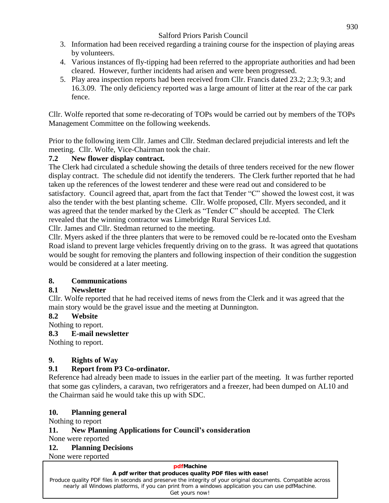- 3. Information had been received regarding a training course for the inspection of playing areas by volunteers.
- 4. Various instances of fly-tipping had been referred to the appropriate authorities and had been cleared. However, further incidents had arisen and were been progressed.
- 5. Play area inspection reports had been received from Cllr. Francis dated 23.2; 2.3; 9.3; and 16.3.09. The only deficiency reported was a large amount of litter at the rear of the car park fence.

Cllr. Wolfe reported that some re-decorating of TOPs would be carried out by members of the TOPs Management Committee on the following weekends.

Prior to the following item Cllr. James and Cllr. Stedman declared prejudicial interests and left the meeting. Cllr. Wolfe, Vice-Chairman took the chair.

### **7.2 New flower display contract.**

The Clerk had circulated a schedule showing the details of three tenders received for the new flower display contract. The schedule did not identify the tenderers. The Clerk further reported that he had taken up the references of the lowest tenderer and these were read out and considered to be display contract. The schedule did not identify the tenderers. The Clerk further reported that he had<br>taken up the references of the lowest tenderer and these were read out and considered to be<br>satisfactory. Council agreed also the tender with the best planting scheme. Cllr. Wolfe proposed, Cllr. Myers seconded, and it satisfactory. Council agreed that, apart from the fact that Tender "C" showed the lowest cost, it was also the tender with the best planting scheme. Cllr. Wolfe proposed, Cllr. Myers seconded, and it was agreed that the te revealed that the winning contractor was Limebridge Rural Services Ltd.

Cllr. James and Cllr. Stedman returned to the meeting.

Cllr. Myers asked if the three planters that were to be removed could be re-located onto the Evesham Road island to prevent large vehicles frequently driving on to the grass. It was agreed that quotations would be sought for removing the planters and following inspection of their condition the suggestion would be considered at a later meeting.

### **8. Communications**

### **8.1 Newsletter**

Cllr. Wolfe reported that he had received items of news from the Clerk and it was agreed that the main story would be the gravel issue and the meeting at Dunnington.

### **8.2 Website**

Nothing to report.

### **8.3 E-mail newsletter**

Nothing to report.

### **9. Rights of Way**

### **9.1 Report from P3 Co-ordinator.**

Reference had already been made to issues in the earlier part of the meeting. It was further reported that some gas cylinders, a caravan, two refrigerators and a freezer, had been dumped on AL10 and the Chairman said he would take this up with SDC.

### **10. Planning general**

Nothing to report

### **11. New Planning Applications for Councilís consideration**

None were reported

### **12. Planning Decisions**

None were reported

#### **pdfMachine A pdf writer that produces quality PDF files with ease!** [Produce quality PDF files in seconds and preserve the integrity of your original documents. Compatible across](http://www.pdfmachine.com?cl)  nearly all Windows platforms, if you can print from a windows application you can use pdfMachine. Get yours now!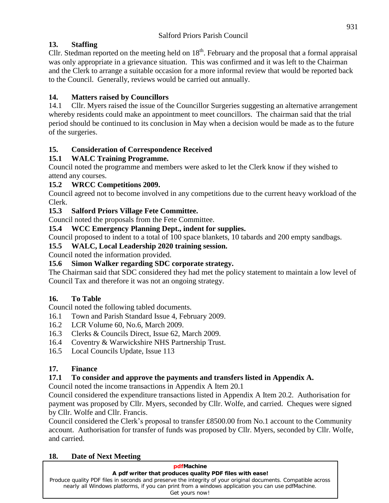# **13. Staffing**

Cllr. Stedman reported on the meeting held on  $18<sup>th</sup>$ . February and the proposal that a formal appraisal was only appropriate in a grievance situation. This was confirmed and it was left to the Chairman and the Clerk to arrange a suitable occasion for a more informal review that would be reported back to the Council. Generally, reviews would be carried out annually.

# **14. Matters raised by Councillors**

14.1 Cllr. Myers raised the issue of the Councillor Surgeries suggesting an alternative arrangement whereby residents could make an appointment to meet councillors. The chairman said that the trial period should be continued to its conclusion in May when a decision would be made as to the future of the surgeries.

# **15. Consideration of Correspondence Received**

# **15.1 WALC Training Programme.**

Council noted the programme and members were asked to let the Clerk know if they wished to attend any courses.

## **15.2 WRCC Competitions 2009.**

Council agreed not to become involved in any competitions due to the current heavy workload of the Clerk.

### **15.3 Salford Priors Village Fete Committee.**

Council noted the proposals from the Fete Committee.

### **15.4 WCC Emergency Planning Dept., indent for supplies.**

Council proposed to indent to a total of 100 space blankets, 10 tabards and 200 empty sandbags.

### **15.5 WALC, Local Leadership 2020 training session.**

Council noted the information provided.

### **15.6 Simon Walker regarding SDC corporate strategy.**

The Chairman said that SDC considered they had met the policy statement to maintain a low level of Council Tax and therefore it was not an ongoing strategy.

# **16. To Table**

Council noted the following tabled documents.

- 16.1 Town and Parish Standard Issue 4, February 2009.
- 16.2 LCR Volume 60,No.6, March 2009.
- 16.3 Clerks & Councils Direct, Issue 62, March 2009.
- 16.4 Coventry & Warwickshire NHS Partnership Trust.
- 16.5 Local Councils Update, Issue 113

# **17. Finance**

# **17.1 To consider and approve the payments and transfers listed in Appendix A.**

Council noted the income transactions in Appendix A Item 20.1

Council considered the expenditure transactions listed in Appendix A Item 20.2. Authorisation for payment was proposed by Cllr. Myers, seconded by Cllr. Wolfe, and carried. Cheques were signed<br>by Cllr. Wolfe and Cllr. Francis.<br>Council considered the Clerk's proposal to transfer £8500.00 from No.1 account to the Communi by Cllr. Wolfe and Cllr. Francis.

account. Authorisation for transfer of funds was proposed by Cllr. Myers, seconded by Cllr. Wolfe, and carried.

### **18. Date of Next Meeting**

| pdfMachine                                                                                                    |
|---------------------------------------------------------------------------------------------------------------|
| A pdf writer that produces quality PDF files with ease!                                                       |
| Produce quality PDF files in seconds and preserve the integrity of your original documents. Compatible across |
| nearly all Windows platforms, if you can print from a windows application you can use pdfMachine.             |
| Get yours now!                                                                                                |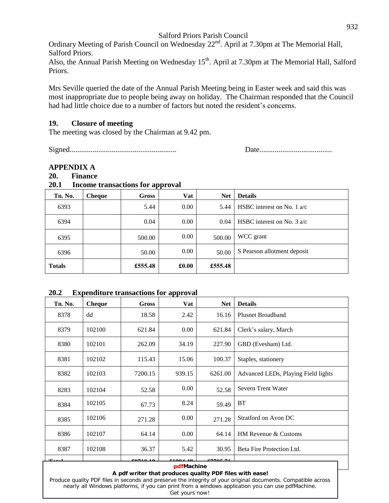Ordinary Meeting of Parish Council on Wednesday 22<sup>nd</sup>. April at 7.30pm at The Memorial Hall, Salford Priors.

Also, the Annual Parish Meeting on Wednesday 15<sup>th</sup>. April at 7.30pm at The Memorial Hall, Salford Priors.

Mrs Seville queried the date of the Annual Parish Meeting being in Easter week and said this was most inappropriate due to people being away on holiday. The Chairman responded that the Council had had little choice due to most inappropriate due to people being away on holiday. The Chairman responded that the Council

#### **19. Closure of meeting**

The meeting was closed by the Chairman at 9.42 pm.

Signed........................................................ Date......................................

#### **APPENDIX A**

#### **20. Finance**

#### **20.1 Income transactions for approval**

| Tn. No.       | <b>Cheque</b> | Gross   | Vat   | <b>Net</b> | <b>Details</b>                       |
|---------------|---------------|---------|-------|------------|--------------------------------------|
| 6393          |               | 5.44    | 0.00  | 5.44       | HSBC interest on No. 1 $a/c$         |
| 6394          |               | 0.04    | 0.00  | 0.04       | HSBC interest on No. $3 \text{ a/c}$ |
| 6395          |               | 500.00  | 0.00  | 500.00     | WCC grant                            |
| 6396          |               | 50.00   | 0.00  | 50.00      | S Pearson allotment deposit          |
| <b>Totals</b> |               | £555.48 | £0.00 | £555.48    |                                      |

#### **20.2 Expenditure transactions for approval**

| Tn. No.                                                                                                        | <b>Cheque</b> | Gross           | Vat           | <b>Net</b> | <b>Details</b>                      |
|----------------------------------------------------------------------------------------------------------------|---------------|-----------------|---------------|------------|-------------------------------------|
| 8378                                                                                                           | dd            | 18.58           | 2.42          | 16.16      | <b>Plusnet Broadband</b>            |
| 8379                                                                                                           | 102100        | 621.84          | $0.00\,$      | 621.84     | Clerk's salary, March               |
| 8380                                                                                                           | 102101        | 262.09          | 34.19         | 227.90     | GBD (Evesham) Ltd.                  |
| 8381                                                                                                           | 102102        | 115.43          | 15.06         | 100.37     | Staples, stationery                 |
| 8382                                                                                                           | 102103        | 7200.15         | 939.15        | 6261.00    | Advanced LEDs, Playing Field lights |
| 8283                                                                                                           | 102104        | 52.58           | 0.00          | 52.58      | Severn Trent Water                  |
| 8384                                                                                                           | 102105        | 67.73           | 8.24          | 59.49      | BT                                  |
| 8385                                                                                                           | 102106        | 271.28          | 0.00          | 271.28     | Stratford on Avon DC                |
| 8386                                                                                                           | 102107        | 64.14           | 0.00          | 64.14      | HM Revenue & Customs                |
| 8387                                                                                                           | 102108        | 36.37           | 5.42          | 30.95      | Beta Fire Protection Ltd.           |
|                                                                                                                |               | <u>00510 10</u> | 01 AA 4 4 4 9 | essae s:   |                                     |
| pdfMachine<br>$\mathbf{A}$ and $\mathbf{B}$ is a set that in the set of<br>. 1913 : DDD 29 - 20 - 20 - 21 - 22 |               |                 |               |            |                                     |

#### **A pdf writer that produces quality PDF files with ease!**

[Produce quality PDF files in seconds and preserve the integrity of your original documents. Compatible across](http://www.pdfmachine.com?cl)  nearly all Windows platforms, if you can print from a windows application you can use pdfMachine. Get yours now!